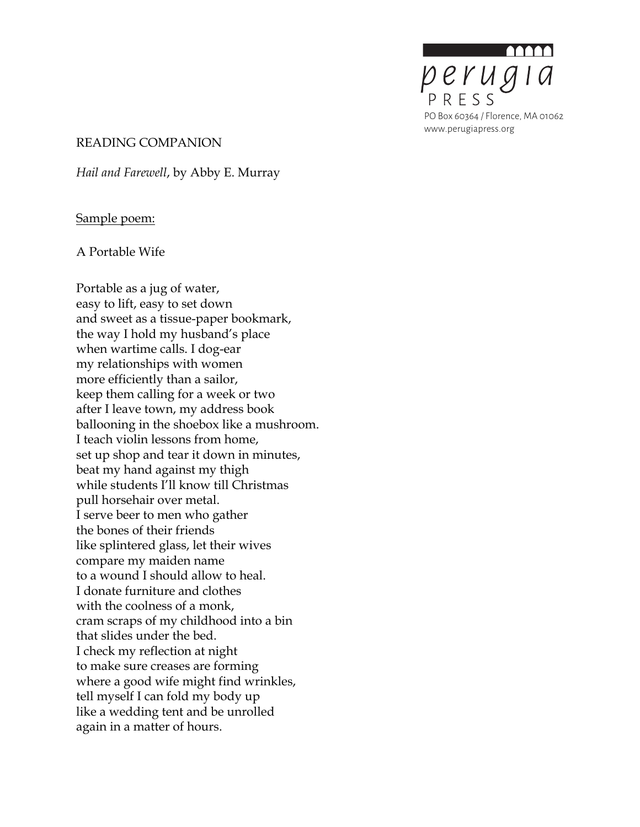perugia PO Box 60364 / Florence, MA 01062 www.perugiapress.org

#### READING COMPANION

*Hail and Farewell*, by Abby E. Murray

#### Sample poem:

A Portable Wife

Portable as a jug of water, easy to lift, easy to set down and sweet as a tissue-paper bookmark, the way I hold my husband's place when wartime calls. I dog-ear my relationships with women more efficiently than a sailor, keep them calling for a week or two after I leave town, my address book ballooning in the shoebox like a mushroom. I teach violin lessons from home, set up shop and tear it down in minutes, beat my hand against my thigh while students I'll know till Christmas pull horsehair over metal. I serve beer to men who gather the bones of their friends like splintered glass, let their wives compare my maiden name to a wound I should allow to heal. I donate furniture and clothes with the coolness of a monk, cram scraps of my childhood into a bin that slides under the bed. I check my reflection at night to make sure creases are forming where a good wife might find wrinkles, tell myself I can fold my body up like a wedding tent and be unrolled again in a matter of hours.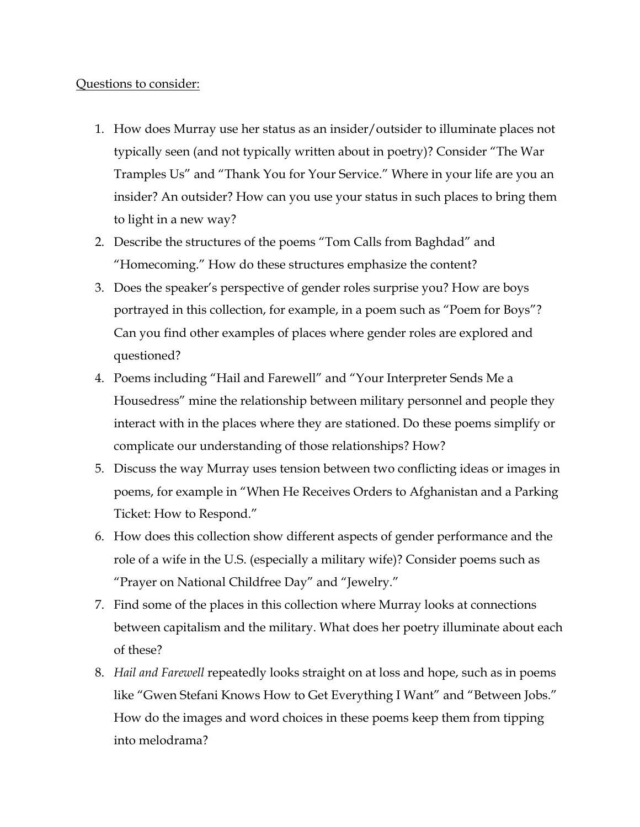### Questions to consider:

- 1. How does Murray use her status as an insider/outsider to illuminate places not typically seen (and not typically written about in poetry)? Consider "The War Tramples Us" and "Thank You for Your Service." Where in your life are you an insider? An outsider? How can you use your status in such places to bring them to light in a new way?
- 2. Describe the structures of the poems "Tom Calls from Baghdad" and "Homecoming." How do these structures emphasize the content?
- 3. Does the speaker's perspective of gender roles surprise you? How are boys portrayed in this collection, for example, in a poem such as "Poem for Boys"? Can you find other examples of places where gender roles are explored and questioned?
- 4. Poems including "Hail and Farewell" and "Your Interpreter Sends Me a Housedress" mine the relationship between military personnel and people they interact with in the places where they are stationed. Do these poems simplify or complicate our understanding of those relationships? How?
- 5. Discuss the way Murray uses tension between two conflicting ideas or images in poems, for example in "When He Receives Orders to Afghanistan and a Parking Ticket: How to Respond."
- 6. How does this collection show different aspects of gender performance and the role of a wife in the U.S. (especially a military wife)? Consider poems such as "Prayer on National Childfree Day" and "Jewelry."
- 7. Find some of the places in this collection where Murray looks at connections between capitalism and the military. What does her poetry illuminate about each of these?
- 8. *Hail and Farewell* repeatedly looks straight on at loss and hope, such as in poems like "Gwen Stefani Knows How to Get Everything I Want" and "Between Jobs." How do the images and word choices in these poems keep them from tipping into melodrama?